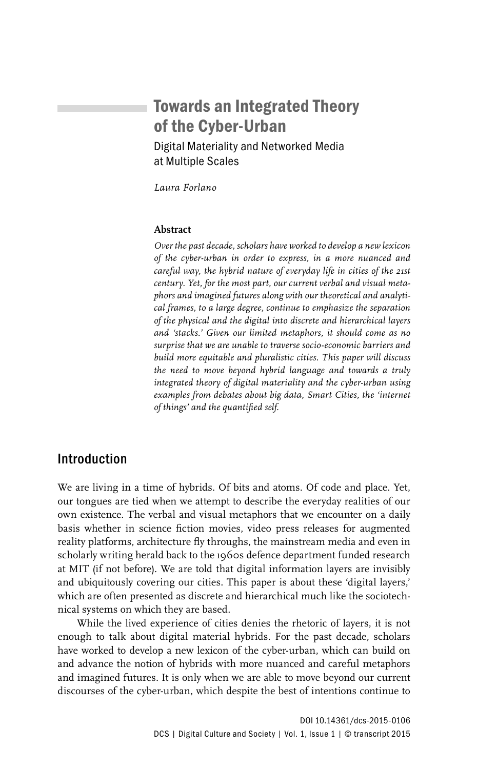# Towards an Integrated Theory of the Cyber-Urban

Digital Materiality and Networked Media at Multiple Scales

*Laura Forlano*

#### **Abstract**

*Over the past decade, scholars have worked to develop a new lexicon of the cyber-urban in order to express, in a more nuanced and careful way, the hybrid nature of everyday life in cities of the 21st century. Yet, for the most part, our current verbal and visual metaphors and imagined futures along with our theoretical and analytical frames, to a large degree, continue to emphasize the separation of the physical and the digital into discrete and hierarchical layers and 'stacks.' Given our limited metaphors, it should come as no surprise that we are unable to traverse socio-economic barriers and build more equitable and pluralistic cities. This paper will discuss the need to move beyond hybrid language and towards a truly integrated theory of digital materiality and the cyber-urban using*  examples from debates about big data, Smart Cities, the 'internet *of things' and the quantified self.*

## Introduction

We are living in a time of hybrids. Of bits and atoms. Of code and place. Yet, our tongues are tied when we attempt to describe the everyday realities of our own existence. The verbal and visual metaphors that we encounter on a daily basis whether in science fiction movies, video press releases for augmented reality platforms, architecture fly throughs, the mainstream media and even in scholarly writing herald back to the 1960s defence department funded research at MIT (if not before). We are told that digital information layers are invisibly and ubiquitously covering our cities. This paper is about these 'digital layers,' which are often presented as discrete and hierarchical much like the sociotechnical systems on which they are based.

While the lived experience of cities denies the rhetoric of layers, it is not enough to talk about digital material hybrids. For the past decade, scholars have worked to develop a new lexicon of the cyber-urban, which can build on and advance the notion of hybrids with more nuanced and careful metaphors and imagined futures. It is only when we are able to move beyond our current discourses of the cyber-urban, which despite the best of intentions continue to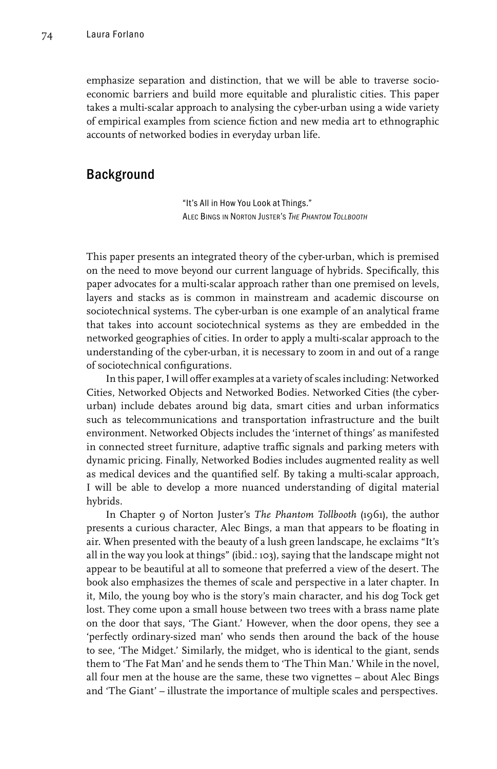emphasize separation and distinction, that we will be able to traverse socioeconomic barriers and build more equitable and pluralistic cities. This paper takes a multi-scalar approach to analysing the cyber-urban using a wide variety of empirical examples from science fiction and new media art to ethnographic accounts of networked bodies in everyday urban life.

#### Background

"It's All in How You Look at Things." Alec Bings in Norton Juster's *The Phantom Tollbooth*

This paper presents an integrated theory of the cyber-urban, which is premised on the need to move beyond our current language of hybrids. Specifically, this paper advocates for a multi-scalar approach rather than one premised on levels, layers and stacks as is common in mainstream and academic discourse on sociotechnical systems. The cyber-urban is one example of an analytical frame that takes into account sociotechnical systems as they are embedded in the networked geographies of cities. In order to apply a multi-scalar approach to the understanding of the cyber-urban, it is necessary to zoom in and out of a range of sociotechnical configurations.

In this paper, I will offer examples at a variety of scales including: Networked Cities, Networked Objects and Networked Bodies. Networked Cities (the cyberurban) include debates around big data, smart cities and urban informatics such as telecommunications and transportation infrastructure and the built environment. Networked Objects includes the 'internet of things' as manifested in connected street furniture, adaptive traffic signals and parking meters with dynamic pricing. Finally, Networked Bodies includes augmented reality as well as medical devices and the quantified self. By taking a multi-scalar approach, I will be able to develop a more nuanced understanding of digital material hybrids.

In Chapter 9 of Norton Juster's *The Phantom Tollbooth* (1961), the author presents a curious character, Alec Bings, a man that appears to be floating in air. When presented with the beauty of a lush green landscape, he exclaims "It's all in the way you look at things" (ibid.: 103), saying that the landscape might not appear to be beautiful at all to someone that preferred a view of the desert. The book also emphasizes the themes of scale and perspective in a later chapter. In it, Milo, the young boy who is the story's main character, and his dog Tock get lost. They come upon a small house between two trees with a brass name plate on the door that says, 'The Giant.' However, when the door opens, they see a 'perfectly ordinary-sized man' who sends then around the back of the house to see, 'The Midget.' Similarly, the midget, who is identical to the giant, sends them to 'The Fat Man' and he sends them to 'The Thin Man.' While in the novel, all four men at the house are the same, these two vignettes – about Alec Bings and 'The Giant' – illustrate the importance of multiple scales and perspectives.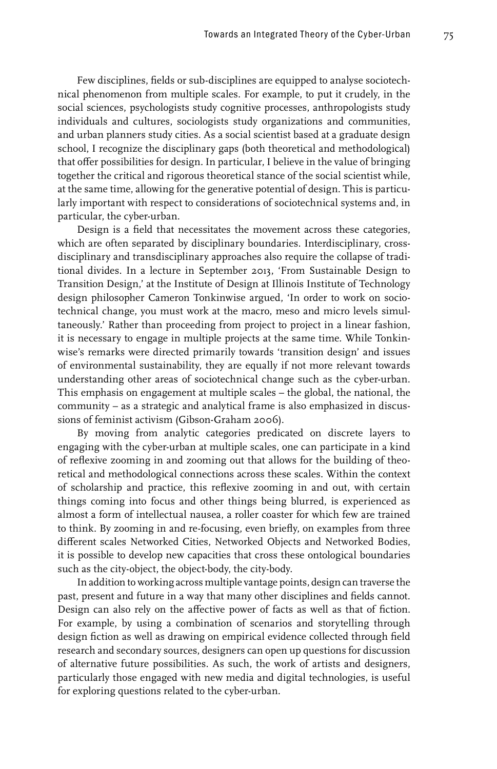Few disciplines, fields or sub-disciplines are equipped to analyse sociotechnical phenomenon from multiple scales. For example, to put it crudely, in the social sciences, psychologists study cognitive processes, anthropologists study individuals and cultures, sociologists study organizations and communities, and urban planners study cities. As a social scientist based at a graduate design school, I recognize the disciplinary gaps (both theoretical and methodological) that offer possibilities for design. In particular, I believe in the value of bringing together the critical and rigorous theoretical stance of the social scientist while, at the same time, allowing for the generative potential of design. This is particularly important with respect to considerations of sociotechnical systems and, in particular, the cyber-urban.

Design is a field that necessitates the movement across these categories, which are often separated by disciplinary boundaries. Interdisciplinary, crossdisciplinary and transdisciplinary approaches also require the collapse of traditional divides. In a lecture in September 2013, 'From Sustainable Design to Transition Design,' at the Institute of Design at Illinois Institute of Technology design philosopher Cameron Tonkinwise argued, 'In order to work on sociotechnical change, you must work at the macro, meso and micro levels simultaneously.' Rather than proceeding from project to project in a linear fashion, it is necessary to engage in multiple projects at the same time. While Tonkinwise's remarks were directed primarily towards 'transition design' and issues of environmental sustainability, they are equally if not more relevant towards understanding other areas of sociotechnical change such as the cyber-urban. This emphasis on engagement at multiple scales – the global, the national, the community – as a strategic and analytical frame is also emphasized in discussions of feminist activism (Gibson-Graham 2006).

By moving from analytic categories predicated on discrete layers to engaging with the cyber-urban at multiple scales, one can participate in a kind of reflexive zooming in and zooming out that allows for the building of theoretical and methodological connections across these scales. Within the context of scholarship and practice, this reflexive zooming in and out, with certain things coming into focus and other things being blurred, is experienced as almost a form of intellectual nausea, a roller coaster for which few are trained to think. By zooming in and re-focusing, even briefly, on examples from three different scales Networked Cities, Networked Objects and Networked Bodies, it is possible to develop new capacities that cross these ontological boundaries such as the city-object, the object-body, the city-body.

In addition to working across multiple vantage points, design can traverse the past, present and future in a way that many other disciplines and fields cannot. Design can also rely on the affective power of facts as well as that of fiction. For example, by using a combination of scenarios and storytelling through design fiction as well as drawing on empirical evidence collected through field research and secondary sources, designers can open up questions for discussion of alternative future possibilities. As such, the work of artists and designers, particularly those engaged with new media and digital technologies, is useful for exploring questions related to the cyber-urban.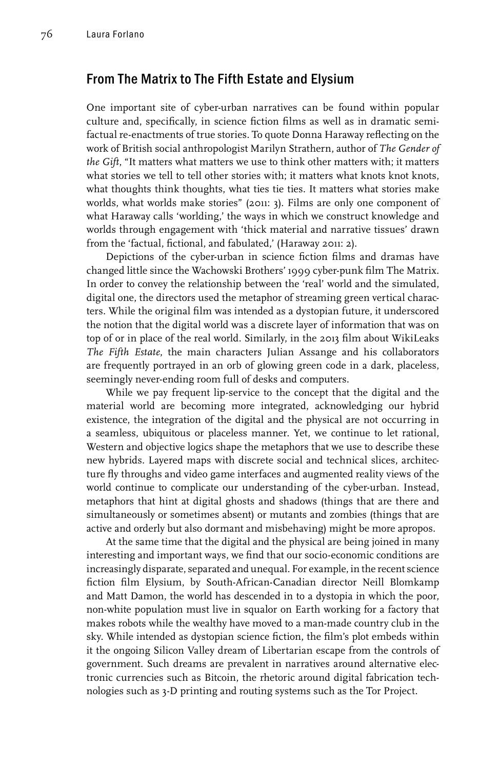#### From The Matrix to The Fifth Estate and Elysium

One important site of cyber-urban narratives can be found within popular culture and, specifically, in science fiction films as well as in dramatic semifactual re-enactments of true stories. To quote Donna Haraway reflecting on the work of British social anthropologist Marilyn Strathern, author of *The Gender of the Gift*, "It matters what matters we use to think other matters with; it matters what stories we tell to tell other stories with; it matters what knots knot knots, what thoughts think thoughts, what ties tie ties. It matters what stories make worlds, what worlds make stories" (2011: 3). Films are only one component of what Haraway calls 'worlding,' the ways in which we construct knowledge and worlds through engagement with 'thick material and narrative tissues' drawn from the 'factual, fictional, and fabulated,' (Haraway 2011: 2).

Depictions of the cyber-urban in science fiction films and dramas have changed little since the Wachowski Brothers' 1999 cyber-punk film The Matrix. In order to convey the relationship between the 'real' world and the simulated, digital one, the directors used the metaphor of streaming green vertical characters. While the original film was intended as a dystopian future, it underscored the notion that the digital world was a discrete layer of information that was on top of or in place of the real world. Similarly, in the 2013 film about WikiLeaks *The Fifth Estate*, the main characters Julian Assange and his collaborators are frequently portrayed in an orb of glowing green code in a dark, placeless, seemingly never-ending room full of desks and computers.

While we pay frequent lip-service to the concept that the digital and the material world are becoming more integrated, acknowledging our hybrid existence, the integration of the digital and the physical are not occurring in a seamless, ubiquitous or placeless manner. Yet, we continue to let rational, Western and objective logics shape the metaphors that we use to describe these new hybrids. Layered maps with discrete social and technical slices, architecture fly throughs and video game interfaces and augmented reality views of the world continue to complicate our understanding of the cyber-urban. Instead, metaphors that hint at digital ghosts and shadows (things that are there and simultaneously or sometimes absent) or mutants and zombies (things that are active and orderly but also dormant and misbehaving) might be more apropos.

At the same time that the digital and the physical are being joined in many interesting and important ways, we find that our socio-economic conditions are increasingly disparate, separated and unequal. For example, in the recent science fiction film Elysium, by South-African-Canadian director Neill Blomkamp and Matt Damon, the world has descended in to a dystopia in which the poor, non-white population must live in squalor on Earth working for a factory that makes robots while the wealthy have moved to a man-made country club in the sky. While intended as dystopian science fiction, the film's plot embeds within it the ongoing Silicon Valley dream of Libertarian escape from the controls of government. Such dreams are prevalent in narratives around alternative electronic currencies such as Bitcoin, the rhetoric around digital fabrication technologies such as 3-D printing and routing systems such as the Tor Project.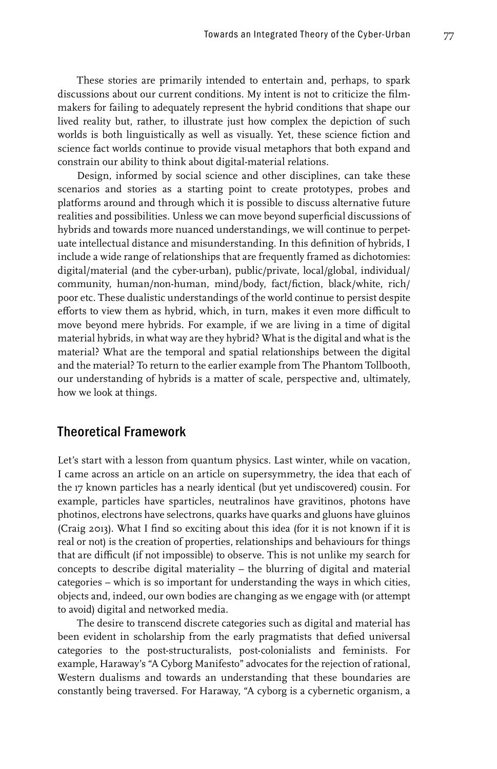These stories are primarily intended to entertain and, perhaps, to spark discussions about our current conditions. My intent is not to criticize the filmmakers for failing to adequately represent the hybrid conditions that shape our lived reality but, rather, to illustrate just how complex the depiction of such worlds is both linguistically as well as visually. Yet, these science fiction and science fact worlds continue to provide visual metaphors that both expand and constrain our ability to think about digital-material relations.

Design, informed by social science and other disciplines, can take these scenarios and stories as a starting point to create prototypes, probes and platforms around and through which it is possible to discuss alternative future realities and possibilities. Unless we can move beyond superficial discussions of hybrids and towards more nuanced understandings, we will continue to perpetuate intellectual distance and misunderstanding. In this definition of hybrids, I include a wide range of relationships that are frequently framed as dichotomies: digital/material (and the cyber-urban), public/private, local/global, individual/ community, human/non-human, mind/body, fact/fiction, black/white, rich/ poor etc. These dualistic understandings of the world continue to persist despite efforts to view them as hybrid, which, in turn, makes it even more difficult to move beyond mere hybrids. For example, if we are living in a time of digital material hybrids, in what way are they hybrid? What is the digital and what is the material? What are the temporal and spatial relationships between the digital and the material? To return to the earlier example from The Phantom Tollbooth, our understanding of hybrids is a matter of scale, perspective and, ultimately, how we look at things.

#### Theoretical Framework

Let's start with a lesson from quantum physics. Last winter, while on vacation, I came across an article on an article on supersymmetry, the idea that each of the 17 known particles has a nearly identical (but yet undiscovered) cousin. For example, particles have sparticles, neutralinos have gravitinos, photons have photinos, electrons have selectrons, quarks have quarks and gluons have gluinos (Craig 2013). What I find so exciting about this idea (for it is not known if it is real or not) is the creation of properties, relationships and behaviours for things that are difficult (if not impossible) to observe. This is not unlike my search for concepts to describe digital materiality – the blurring of digital and material categories – which is so important for understanding the ways in which cities, objects and, indeed, our own bodies are changing as we engage with (or attempt to avoid) digital and networked media.

The desire to transcend discrete categories such as digital and material has been evident in scholarship from the early pragmatists that defied universal categories to the post-structuralists, post-colonialists and feminists. For example, Haraway's "A Cyborg Manifesto" advocates for the rejection of rational, Western dualisms and towards an understanding that these boundaries are constantly being traversed. For Haraway, "A cyborg is a cybernetic organism, a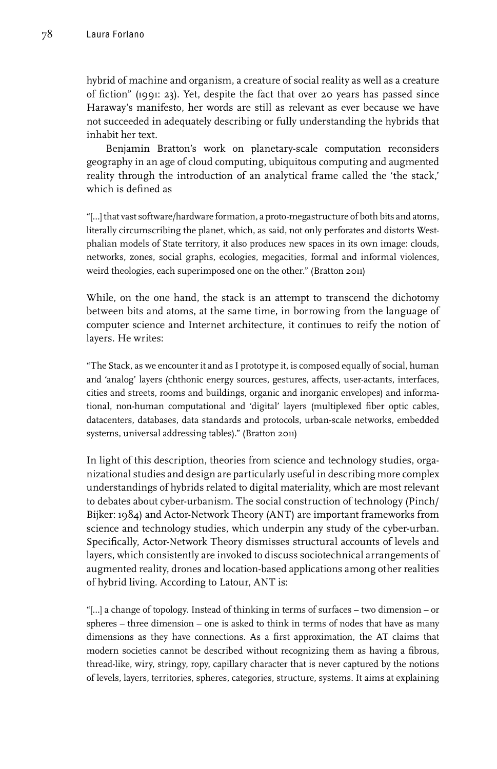hybrid of machine and organism, a creature of social reality as well as a creature of fiction" (1991: 23). Yet, despite the fact that over 20 years has passed since Haraway's manifesto, her words are still as relevant as ever because we have not succeeded in adequately describing or fully understanding the hybrids that inhabit her text.

Benjamin Bratton's work on planetary-scale computation reconsiders geography in an age of cloud computing, ubiquitous computing and augmented reality through the introduction of an analytical frame called the 'the stack,' which is defined as

"[…] that vast software/hardware formation, a proto-megastructure of both bits and atoms, literally circumscribing the planet, which, as said, not only perforates and distorts Westphalian models of State territory, it also produces new spaces in its own image: clouds, networks, zones, social graphs, ecologies, megacities, formal and informal violences, weird theologies, each superimposed one on the other." (Bratton 2011)

While, on the one hand, the stack is an attempt to transcend the dichotomy between bits and atoms, at the same time, in borrowing from the language of computer science and Internet architecture, it continues to reify the notion of layers. He writes:

"The Stack, as we encounter it and as I prototype it, is composed equally of social, human and 'analog' layers (chthonic energy sources, gestures, affects, user-actants, interfaces, cities and streets, rooms and buildings, organic and inorganic envelopes) and informational, non-human computational and 'digital' layers (multiplexed fiber optic cables, datacenters, databases, data standards and protocols, urban-scale networks, embedded systems, universal addressing tables)." (Bratton 2011)

In light of this description, theories from science and technology studies, organizational studies and design are particularly useful in describing more complex understandings of hybrids related to digital materiality, which are most relevant to debates about cyber-urbanism. The social construction of technology (Pinch/ Bijker: 1984) and Actor-Network Theory (ANT) are important frameworks from science and technology studies, which underpin any study of the cyber-urban. Specifically, Actor-Network Theory dismisses structural accounts of levels and layers, which consistently are invoked to discuss sociotechnical arrangements of augmented reality, drones and location-based applications among other realities of hybrid living. According to Latour, ANT is:

"[…] a change of topology. Instead of thinking in terms of surfaces – two dimension – or spheres – three dimension – one is asked to think in terms of nodes that have as many dimensions as they have connections. As a first approximation, the AT claims that modern societies cannot be described without recognizing them as having a fibrous, thread-like, wiry, stringy, ropy, capillary character that is never captured by the notions of levels, layers, territories, spheres, categories, structure, systems. It aims at explaining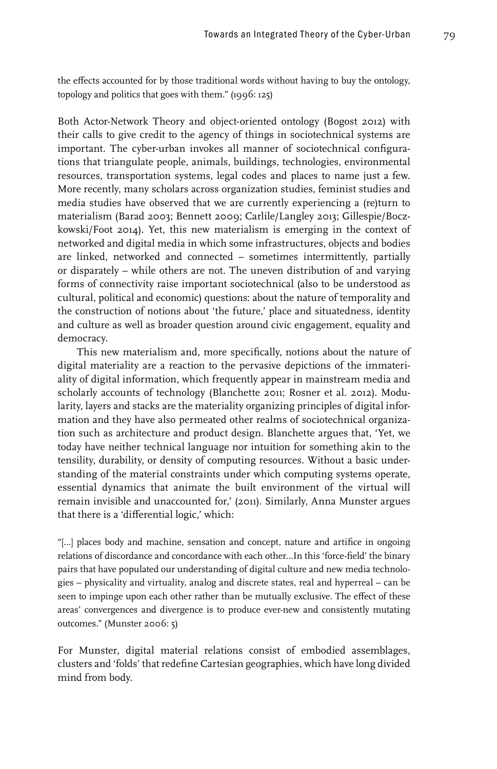the effects accounted for by those traditional words without having to buy the ontology, topology and politics that goes with them." (1996: 125)

Both Actor-Network Theory and object-oriented ontology (Bogost 2012) with their calls to give credit to the agency of things in sociotechnical systems are important. The cyber-urban invokes all manner of sociotechnical configurations that triangulate people, animals, buildings, technologies, environmental resources, transportation systems, legal codes and places to name just a few. More recently, many scholars across organization studies, feminist studies and media studies have observed that we are currently experiencing a (re)turn to materialism (Barad 2003; Bennett 2009; Carlile/Langley 2013; Gillespie/Boczkowski/Foot 2014). Yet, this new materialism is emerging in the context of networked and digital media in which some infrastructures, objects and bodies are linked, networked and connected – sometimes intermittently, partially or disparately – while others are not. The uneven distribution of and varying forms of connectivity raise important sociotechnical (also to be understood as cultural, political and economic) questions: about the nature of temporality and the construction of notions about 'the future,' place and situatedness, identity and culture as well as broader question around civic engagement, equality and democracy.

This new materialism and, more specifically, notions about the nature of digital materiality are a reaction to the pervasive depictions of the immateriality of digital information, which frequently appear in mainstream media and scholarly accounts of technology (Blanchette 2011; Rosner et al. 2012). Modularity, layers and stacks are the materiality organizing principles of digital information and they have also permeated other realms of sociotechnical organization such as architecture and product design. Blanchette argues that, 'Yet, we today have neither technical language nor intuition for something akin to the tensility, durability, or density of computing resources. Without a basic understanding of the material constraints under which computing systems operate, essential dynamics that animate the built environment of the virtual will remain invisible and unaccounted for,' (2011). Similarly, Anna Munster argues that there is a 'differential logic,' which:

"[…] places body and machine, sensation and concept, nature and artifice in ongoing relations of discordance and concordance with each other…In this 'force-field' the binary pairs that have populated our understanding of digital culture and new media technologies – physicality and virtuality, analog and discrete states, real and hyperreal – can be seen to impinge upon each other rather than be mutually exclusive. The effect of these areas' convergences and divergence is to produce ever-new and consistently mutating outcomes." (Munster 2006: 5)

For Munster, digital material relations consist of embodied assemblages, clusters and 'folds' that redefine Cartesian geographies, which have long divided mind from body.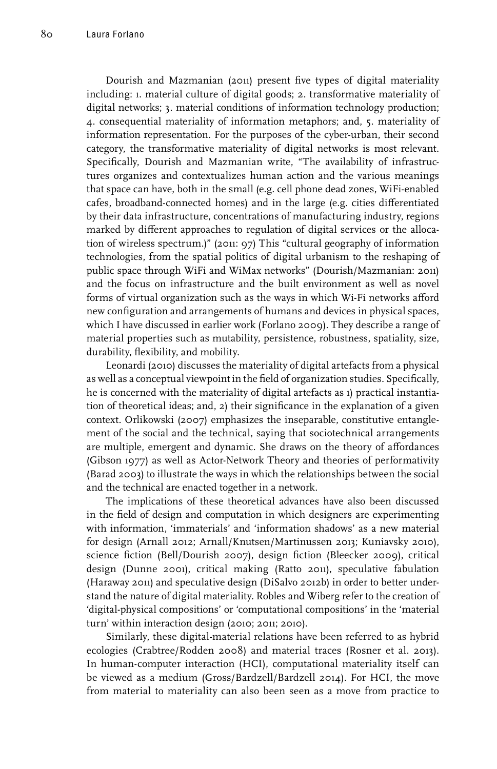Dourish and Mazmanian (2011) present five types of digital materiality including: 1. material culture of digital goods; 2. transformative materiality of digital networks; 3. material conditions of information technology production; 4. consequential materiality of information metaphors; and, 5. materiality of information representation. For the purposes of the cyber-urban, their second category, the transformative materiality of digital networks is most relevant. Specifically, Dourish and Mazmanian write, "The availability of infrastructures organizes and contextualizes human action and the various meanings that space can have, both in the small (e.g. cell phone dead zones, WiFi-enabled cafes, broadband-connected homes) and in the large (e.g. cities differentiated by their data infrastructure, concentrations of manufacturing industry, regions marked by different approaches to regulation of digital services or the allocation of wireless spectrum.)" (2011: 97) This "cultural geography of information technologies, from the spatial politics of digital urbanism to the reshaping of public space through WiFi and WiMax networks" (Dourish/Mazmanian: 2011) and the focus on infrastructure and the built environment as well as novel forms of virtual organization such as the ways in which Wi-Fi networks afford new configuration and arrangements of humans and devices in physical spaces, which I have discussed in earlier work (Forlano 2009). They describe a range of material properties such as mutability, persistence, robustness, spatiality, size, durability, flexibility, and mobility.

Leonardi (2010) discusses the materiality of digital artefacts from a physical as well as a conceptual viewpoint in the field of organization studies. Specifically, he is concerned with the materiality of digital artefacts as 1) practical instantiation of theoretical ideas; and, 2) their significance in the explanation of a given context. Orlikowski (2007) emphasizes the inseparable, constitutive entanglement of the social and the technical, saying that sociotechnical arrangements are multiple, emergent and dynamic. She draws on the theory of affordances (Gibson 1977) as well as Actor-Network Theory and theories of performativity (Barad 2003) to illustrate the ways in which the relationships between the social and the technical are enacted together in a network.

The implications of these theoretical advances have also been discussed in the field of design and computation in which designers are experimenting with information, 'immaterials' and 'information shadows' as a new material for design (Arnall 2012; Arnall/Knutsen/Martinussen 2013; Kuniavsky 2010), science fiction (Bell/Dourish 2007), design fiction (Bleecker 2009), critical design (Dunne 2001), critical making (Ratto 2011), speculative fabulation (Haraway 2011) and speculative design (DiSalvo 2012b) in order to better understand the nature of digital materiality. Robles and Wiberg refer to the creation of 'digital-physical compositions' or 'computational compositions' in the 'material turn' within interaction design (2010; 2011; 2010).

Similarly, these digital-material relations have been referred to as hybrid ecologies (Crabtree/Rodden 2008) and material traces (Rosner et al. 2013). In human-computer interaction (HCI), computational materiality itself can be viewed as a medium (Gross/Bardzell/Bardzell 2014). For HCI, the move from material to materiality can also been seen as a move from practice to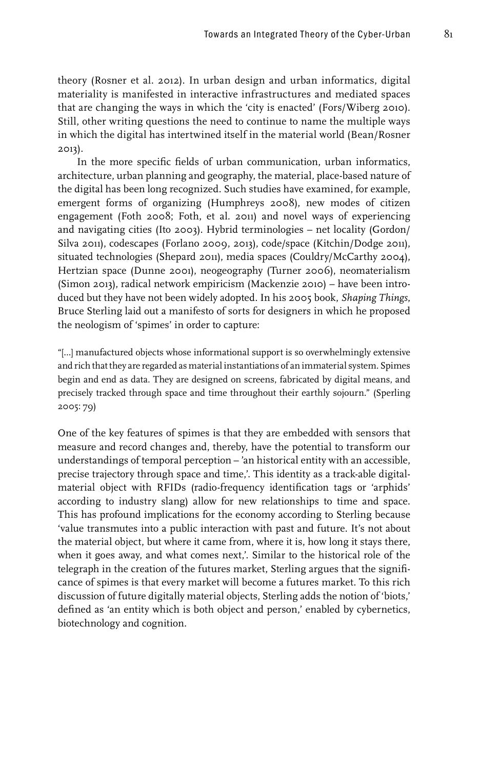theory (Rosner et al. 2012). In urban design and urban informatics, digital materiality is manifested in interactive infrastructures and mediated spaces that are changing the ways in which the 'city is enacted' (Fors/Wiberg 2010). Still, other writing questions the need to continue to name the multiple ways in which the digital has intertwined itself in the material world (Bean/Rosner 2013).

In the more specific fields of urban communication, urban informatics, architecture, urban planning and geography, the material, place-based nature of the digital has been long recognized. Such studies have examined, for example, emergent forms of organizing (Humphreys 2008), new modes of citizen engagement (Foth 2008; Foth, et al. 2011) and novel ways of experiencing and navigating cities (Ito 2003). Hybrid terminologies – net locality (Gordon/ Silva 2011), codescapes (Forlano 2009, 2013), code/space (Kitchin/Dodge 2011), situated technologies (Shepard 2011), media spaces (Couldry/McCarthy 2004), Hertzian space (Dunne 2001), neogeography (Turner 2006), neomaterialism (Simon 2013), radical network empiricism (Mackenzie 2010) − have been introduced but they have not been widely adopted. In his 2005 book, *Shaping Things*, Bruce Sterling laid out a manifesto of sorts for designers in which he proposed the neologism of 'spimes' in order to capture:

"[…] manufactured objects whose informational support is so overwhelmingly extensive and rich that they are regarded as material instantiations of an immaterial system. Spimes begin and end as data. They are designed on screens, fabricated by digital means, and precisely tracked through space and time throughout their earthly sojourn." (Sperling 2005: 79)

One of the key features of spimes is that they are embedded with sensors that measure and record changes and, thereby, have the potential to transform our understandings of temporal perception – 'an historical entity with an accessible, precise trajectory through space and time,'. This identity as a track-able digitalmaterial object with RFIDs (radio-frequency identification tags or 'arphids' according to industry slang) allow for new relationships to time and space. This has profound implications for the economy according to Sterling because 'value transmutes into a public interaction with past and future. It's not about the material object, but where it came from, where it is, how long it stays there, when it goes away, and what comes next,'. Similar to the historical role of the telegraph in the creation of the futures market, Sterling argues that the significance of spimes is that every market will become a futures market. To this rich discussion of future digitally material objects, Sterling adds the notion of 'biots,' defined as 'an entity which is both object and person,' enabled by cybernetics, biotechnology and cognition.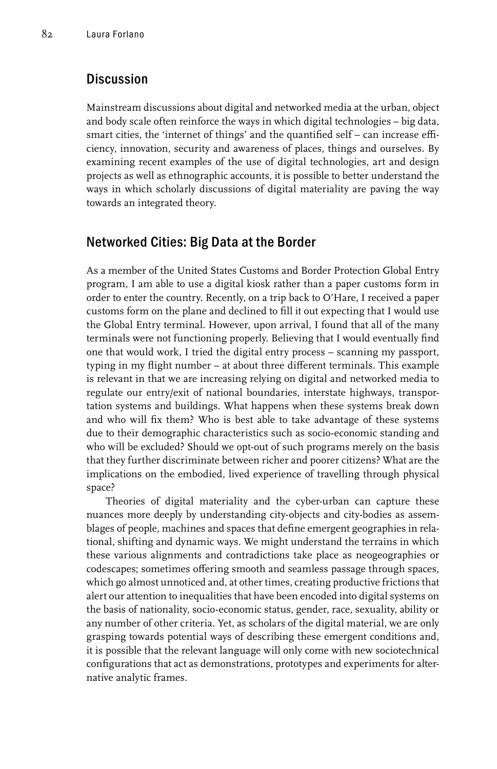## **Discussion**

Mainstream discussions about digital and networked media at the urban, object and body scale often reinforce the ways in which digital technologies – big data, smart cities, the 'internet of things' and the quantified self – can increase efficiency, innovation, security and awareness of places, things and ourselves. By examining recent examples of the use of digital technologies, art and design projects as well as ethnographic accounts, it is possible to better understand the ways in which scholarly discussions of digital materiality are paving the way towards an integrated theory.

## Networked Cities: Big Data at the Border

As a member of the United States Customs and Border Protection Global Entry program, I am able to use a digital kiosk rather than a paper customs form in order to enter the country. Recently, on a trip back to O'Hare, I received a paper customs form on the plane and declined to fill it out expecting that I would use the Global Entry terminal. However, upon arrival, I found that all of the many terminals were not functioning properly. Believing that I would eventually find one that would work, I tried the digital entry process – scanning my passport, typing in my flight number – at about three different terminals. This example is relevant in that we are increasing relying on digital and networked media to regulate our entry/exit of national boundaries, interstate highways, transportation systems and buildings. What happens when these systems break down and who will fix them? Who is best able to take advantage of these systems due to their demographic characteristics such as socio-economic standing and who will be excluded? Should we opt-out of such programs merely on the basis that they further discriminate between richer and poorer citizens? What are the implications on the embodied, lived experience of travelling through physical space?

Theories of digital materiality and the cyber-urban can capture these nuances more deeply by understanding city-objects and city-bodies as assemblages of people, machines and spaces that define emergent geographies in relational, shifting and dynamic ways. We might understand the terrains in which these various alignments and contradictions take place as neogeographies or codescapes; sometimes offering smooth and seamless passage through spaces, which go almost unnoticed and, at other times, creating productive frictions that alert our attention to inequalities that have been encoded into digital systems on the basis of nationality, socio-economic status, gender, race, sexuality, ability or any number of other criteria. Yet, as scholars of the digital material, we are only grasping towards potential ways of describing these emergent conditions and, it is possible that the relevant language will only come with new sociotechnical configurations that act as demonstrations, prototypes and experiments for alternative analytic frames.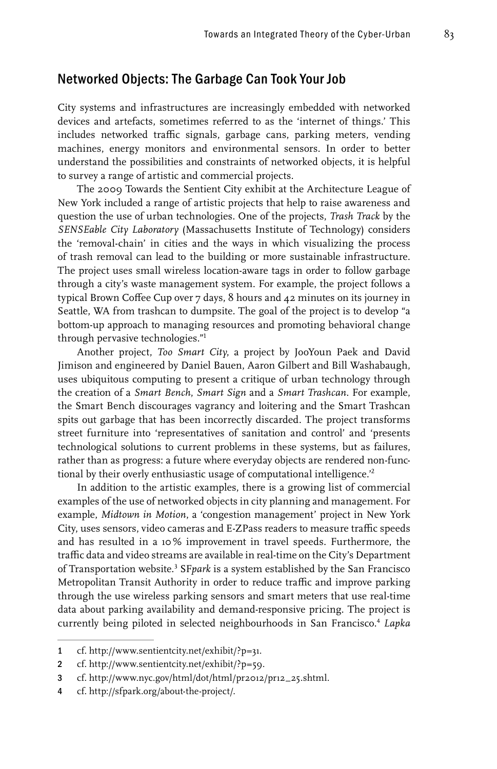## Networked Objects: The Garbage Can Took Your Job

City systems and infrastructures are increasingly embedded with networked devices and artefacts, sometimes referred to as the 'internet of things.' This includes networked traffic signals, garbage cans, parking meters, vending machines, energy monitors and environmental sensors. In order to better understand the possibilities and constraints of networked objects, it is helpful to survey a range of artistic and commercial projects.

The 2009 Towards the Sentient City exhibit at the Architecture League of New York included a range of artistic projects that help to raise awareness and question the use of urban technologies. One of the projects, *Trash Track* by the *SENSEable City Laboratory* (Massachusetts Institute of Technology) considers the 'removal-chain' in cities and the ways in which visualizing the process of trash removal can lead to the building or more sustainable infrastructure. The project uses small wireless location-aware tags in order to follow garbage through a city's waste management system. For example, the project follows a typical Brown Coffee Cup over 7 days, 8 hours and 42 minutes on its journey in Seattle, WA from trashcan to dumpsite. The goal of the project is to develop "a bottom-up approach to managing resources and promoting behavioral change through pervasive technologies."1

Another project, *Too Smart City*, a project by JooYoun Paek and David Jimison and engineered by Daniel Bauen, Aaron Gilbert and Bill Washabaugh, uses ubiquitous computing to present a critique of urban technology through the creation of a *Smart Bench*, *Smart Sign* and a *Smart Trashcan*. For example, the Smart Bench discourages vagrancy and loitering and the Smart Trashcan spits out garbage that has been incorrectly discarded. The project transforms street furniture into 'representatives of sanitation and control' and 'presents technological solutions to current problems in these systems, but as failures, rather than as progress: a future where everyday objects are rendered non-functional by their overly enthusiastic usage of computational intelligence.'2

In addition to the artistic examples, there is a growing list of commercial examples of the use of networked objects in city planning and management. For example, *Midtown in Motion*, a 'congestion management' project in New York City, uses sensors, video cameras and E-ZPass readers to measure traffic speeds and has resulted in a 10% improvement in travel speeds. Furthermore, the traffic data and video streams are available in real-time on the City's Department of Transportation website.<sup>3</sup> SFpark is a system established by the San Francisco Metropolitan Transit Authority in order to reduce traffic and improve parking through the use wireless parking sensors and smart meters that use real-time data about parking availability and demand-responsive pricing. The project is currently being piloted in selected neighbourhoods in San Francisco.4 *Lapka*

<sup>1</sup> cf. http://www.sentientcity.net/exhibit/?p=31.

<sup>2</sup> cf. http://www.sentientcity.net/exhibit/?p=59.

<sup>3</sup> cf. http://www.nyc.gov/html/dot/html/pr2012/pr12\_25.shtml.

<sup>4</sup> cf. http://sfpark.org/about-the-project/.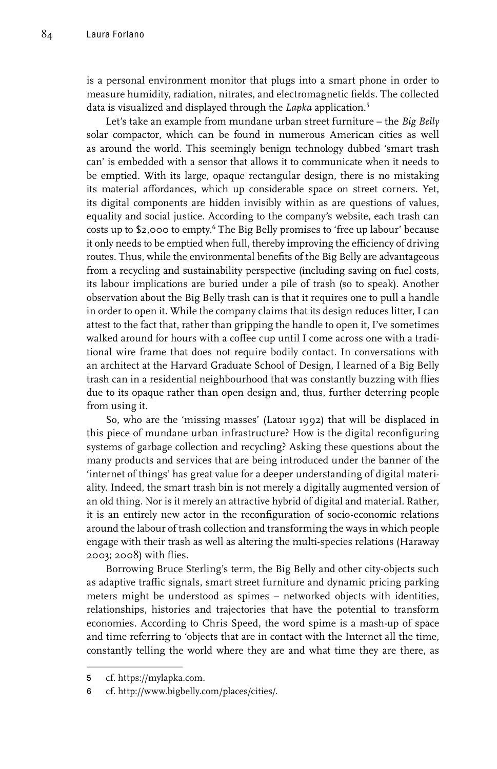is a personal environment monitor that plugs into a smart phone in order to measure humidity, radiation, nitrates, and electromagnetic fields. The collected data is visualized and displayed through the *Lapka* application.5

Let's take an example from mundane urban street furniture – the *Big Belly* solar compactor, which can be found in numerous American cities as well as around the world. This seemingly benign technology dubbed 'smart trash can' is embedded with a sensor that allows it to communicate when it needs to be emptied. With its large, opaque rectangular design, there is no mistaking its material affordances, which up considerable space on street corners. Yet, its digital components are hidden invisibly within as are questions of values, equality and social justice. According to the company's website, each trash can costs up to \$2,000 to empty.<sup>6</sup> The Big Belly promises to 'free up labour' because it only needs to be emptied when full, thereby improving the efficiency of driving routes. Thus, while the environmental benefits of the Big Belly are advantageous from a recycling and sustainability perspective (including saving on fuel costs, its labour implications are buried under a pile of trash (so to speak). Another observation about the Big Belly trash can is that it requires one to pull a handle in order to open it. While the company claims that its design reduces litter, I can attest to the fact that, rather than gripping the handle to open it, I've sometimes walked around for hours with a coffee cup until I come across one with a traditional wire frame that does not require bodily contact. In conversations with an architect at the Harvard Graduate School of Design, I learned of a Big Belly trash can in a residential neighbourhood that was constantly buzzing with flies due to its opaque rather than open design and, thus, further deterring people from using it.

So, who are the 'missing masses' (Latour 1992) that will be displaced in this piece of mundane urban infrastructure? How is the digital reconfiguring systems of garbage collection and recycling? Asking these questions about the many products and services that are being introduced under the banner of the 'internet of things' has great value for a deeper understanding of digital materiality. Indeed, the smart trash bin is not merely a digitally augmented version of an old thing. Nor is it merely an attractive hybrid of digital and material. Rather, it is an entirely new actor in the reconfiguration of socio-economic relations around the labour of trash collection and transforming the ways in which people engage with their trash as well as altering the multi-species relations (Haraway 2003; 2008) with flies.

Borrowing Bruce Sterling's term, the Big Belly and other city-objects such as adaptive traffic signals, smart street furniture and dynamic pricing parking meters might be understood as spimes – networked objects with identities, relationships, histories and trajectories that have the potential to transform economies. According to Chris Speed, the word spime is a mash-up of space and time referring to 'objects that are in contact with the Internet all the time, constantly telling the world where they are and what time they are there, as

<sup>5</sup> cf. https://mylapka.com.

<sup>6</sup> cf. http://www.bigbelly.com/places/cities/.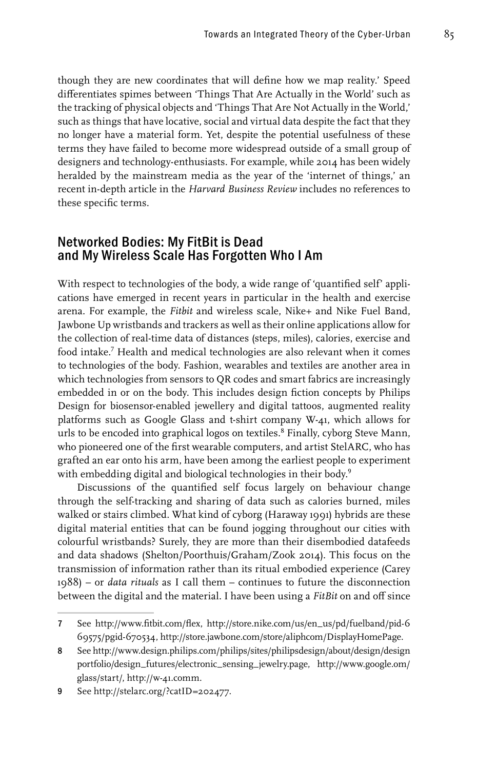though they are new coordinates that will define how we map reality.' Speed differentiates spimes between 'Things That Are Actually in the World' such as the tracking of physical objects and 'Things That Are Not Actually in the World,' such as things that have locative, social and virtual data despite the fact that they no longer have a material form. Yet, despite the potential usefulness of these terms they have failed to become more widespread outside of a small group of designers and technology-enthusiasts. For example, while 2014 has been widely heralded by the mainstream media as the year of the 'internet of things,' an recent in-depth article in the *Harvard Business Review* includes no references to these specific terms.

#### Networked Bodies: My FitBit is Dead and My Wireless Scale Has Forgotten Who I Am

With respect to technologies of the body, a wide range of 'quantified self' applications have emerged in recent years in particular in the health and exercise arena. For example, the *Fitbit* and wireless scale, Nike+ and Nike Fuel Band, Jawbone Up wristbands and trackers as well as their online applications allow for the collection of real-time data of distances (steps, miles), calories, exercise and food intake.<sup>7</sup> Health and medical technologies are also relevant when it comes to technologies of the body. Fashion, wearables and textiles are another area in which technologies from sensors to QR codes and smart fabrics are increasingly embedded in or on the body. This includes design fiction concepts by Philips Design for biosensor-enabled jewellery and digital tattoos, augmented reality platforms such as Google Glass and t-shirt company W-41, which allows for urls to be encoded into graphical logos on textiles.<sup>8</sup> Finally, cyborg Steve Mann, who pioneered one of the first wearable computers, and artist StelARC, who has grafted an ear onto his arm, have been among the earliest people to experiment with embedding digital and biological technologies in their body.<sup>9</sup>

Discussions of the quantified self focus largely on behaviour change through the self-tracking and sharing of data such as calories burned, miles walked or stairs climbed. What kind of cyborg (Haraway 1991) hybrids are these digital material entities that can be found jogging throughout our cities with colourful wristbands? Surely, they are more than their disembodied datafeeds and data shadows (Shelton/Poorthuis/Graham/Zook 2014). This focus on the transmission of information rather than its ritual embodied experience (Carey 1988) – or *data rituals* as I call them – continues to future the disconnection between the digital and the material. I have been using a *FitBit* on and off since

<sup>7</sup> See http://www.fitbit.com/flex, http://store.nike.com/us/en\_us/pd/fuelband/pid-6 69575/pgid-670534, http://store.jawbone.com/store/aliphcom/DisplayHomePage.

<sup>8</sup> See http://www.design.philips.com/philips/sites/philipsdesign/about/design/design portfolio/design\_futures/electronic\_sensing\_jewelry.page, http://www.google.om/ glass/start/, http://w-41.comm.

<sup>9</sup> See http://stelarc.org/?catID=202477.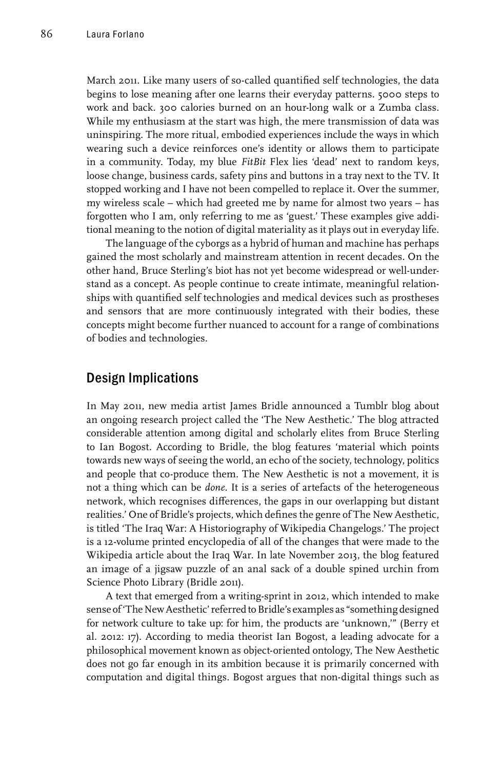March 2011. Like many users of so-called quantified self technologies, the data begins to lose meaning after one learns their everyday patterns. 5000 steps to work and back. 300 calories burned on an hour-long walk or a Zumba class. While my enthusiasm at the start was high, the mere transmission of data was uninspiring. The more ritual, embodied experiences include the ways in which wearing such a device reinforces one's identity or allows them to participate in a community. Today, my blue *FitBit* Flex lies 'dead' next to random keys, loose change, business cards, safety pins and buttons in a tray next to the TV. It stopped working and I have not been compelled to replace it. Over the summer, my wireless scale – which had greeted me by name for almost two years – has forgotten who I am, only referring to me as 'guest.' These examples give additional meaning to the notion of digital materiality as it plays out in everyday life.

The language of the cyborgs as a hybrid of human and machine has perhaps gained the most scholarly and mainstream attention in recent decades. On the other hand, Bruce Sterling's biot has not yet become widespread or well-understand as a concept. As people continue to create intimate, meaningful relationships with quantified self technologies and medical devices such as prostheses and sensors that are more continuously integrated with their bodies, these concepts might become further nuanced to account for a range of combinations of bodies and technologies.

#### Design Implications

In May 2011, new media artist James Bridle announced a Tumblr blog about an ongoing research project called the 'The New Aesthetic.' The blog attracted considerable attention among digital and scholarly elites from Bruce Sterling to Ian Bogost. According to Bridle, the blog features 'material which points towards new ways of seeing the world, an echo of the society, technology, politics and people that co-produce them. The New Aesthetic is not a movement, it is not a thing which can be *done*. It is a series of artefacts of the heterogeneous network, which recognises differences, the gaps in our overlapping but distant realities.' One of Bridle's projects, which defines the genre of The New Aesthetic, is titled 'The Iraq War: A Historiography of Wikipedia Changelogs.' The project is a 12-volume printed encyclopedia of all of the changes that were made to the Wikipedia article about the Iraq War. In late November 2013, the blog featured an image of a jigsaw puzzle of an anal sack of a double spined urchin from Science Photo Library (Bridle 2011).

A text that emerged from a writing-sprint in 2012, which intended to make sense of 'The New Aesthetic' referred to Bridle's examples as "something designed for network culture to take up: for him, the products are 'unknown,'" (Berry et al. 2012: 17). According to media theorist Ian Bogost, a leading advocate for a philosophical movement known as object-oriented ontology, The New Aesthetic does not go far enough in its ambition because it is primarily concerned with computation and digital things. Bogost argues that non-digital things such as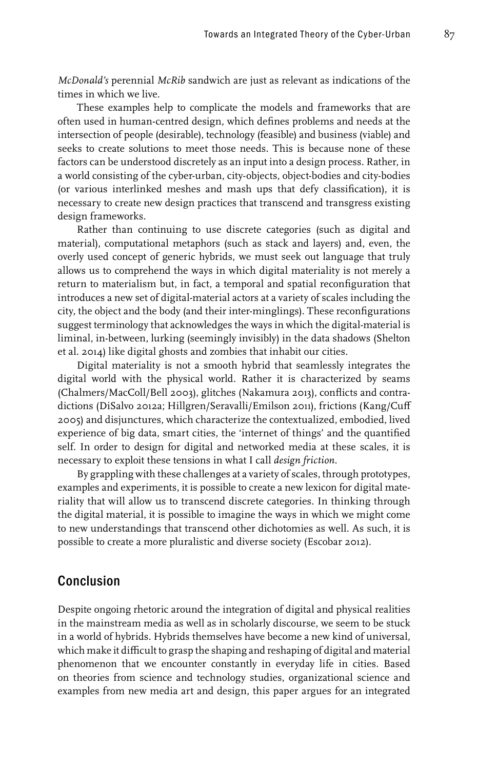*McDonald's* perennial *McRib* sandwich are just as relevant as indications of the times in which we live.

These examples help to complicate the models and frameworks that are often used in human-centred design, which defines problems and needs at the intersection of people (desirable), technology (feasible) and business (viable) and seeks to create solutions to meet those needs. This is because none of these factors can be understood discretely as an input into a design process. Rather, in a world consisting of the cyber-urban, city-objects, object-bodies and city-bodies (or various interlinked meshes and mash ups that defy classification), it is necessary to create new design practices that transcend and transgress existing design frameworks.

Rather than continuing to use discrete categories (such as digital and material), computational metaphors (such as stack and layers) and, even, the overly used concept of generic hybrids, we must seek out language that truly allows us to comprehend the ways in which digital materiality is not merely a return to materialism but, in fact, a temporal and spatial reconfiguration that introduces a new set of digital-material actors at a variety of scales including the city, the object and the body (and their inter-minglings). These reconfigurations suggest terminology that acknowledges the ways in which the digital-material is liminal, in-between, lurking (seemingly invisibly) in the data shadows (Shelton et al. 2014) like digital ghosts and zombies that inhabit our cities.

Digital materiality is not a smooth hybrid that seamlessly integrates the digital world with the physical world. Rather it is characterized by seams (Chalmers/MacColl/Bell 2003), glitches (Nakamura 2013), conflicts and contradictions (DiSalvo 2012a; Hillgren/Seravalli/Emilson 2011), frictions (Kang/Cuff 2005) and disjunctures, which characterize the contextualized, embodied, lived experience of big data, smart cities, the 'internet of things' and the quantified self. In order to design for digital and networked media at these scales, it is necessary to exploit these tensions in what I call *design friction*.

By grappling with these challenges at a variety of scales, through prototypes, examples and experiments, it is possible to create a new lexicon for digital materiality that will allow us to transcend discrete categories. In thinking through the digital material, it is possible to imagine the ways in which we might come to new understandings that transcend other dichotomies as well. As such, it is possible to create a more pluralistic and diverse society (Escobar 2012).

### Conclusion

Despite ongoing rhetoric around the integration of digital and physical realities in the mainstream media as well as in scholarly discourse, we seem to be stuck in a world of hybrids. Hybrids themselves have become a new kind of universal, which make it difficult to grasp the shaping and reshaping of digital and material phenomenon that we encounter constantly in everyday life in cities. Based on theories from science and technology studies, organizational science and examples from new media art and design, this paper argues for an integrated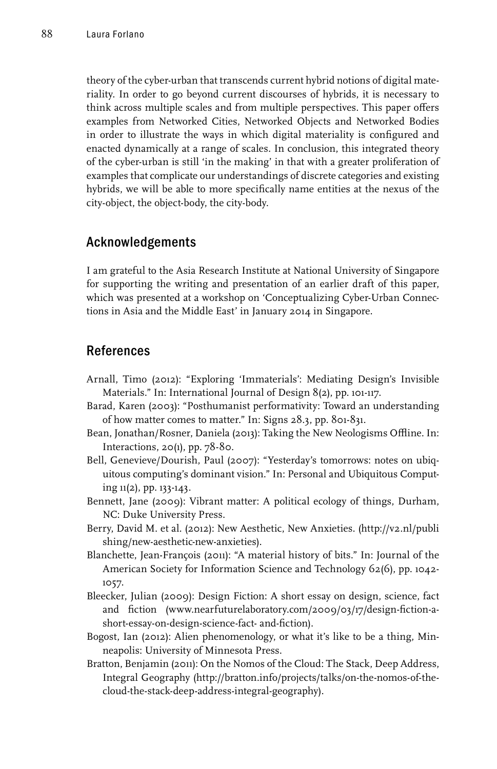theory of the cyber-urban that transcends current hybrid notions of digital materiality. In order to go beyond current discourses of hybrids, it is necessary to think across multiple scales and from multiple perspectives. This paper offers examples from Networked Cities, Networked Objects and Networked Bodies in order to illustrate the ways in which digital materiality is configured and enacted dynamically at a range of scales. In conclusion, this integrated theory of the cyber-urban is still 'in the making' in that with a greater proliferation of examples that complicate our understandings of discrete categories and existing hybrids, we will be able to more specifically name entities at the nexus of the city-object, the object-body, the city-body.

## Acknowledgements

I am grateful to the Asia Research Institute at National University of Singapore for supporting the writing and presentation of an earlier draft of this paper, which was presented at a workshop on 'Conceptualizing Cyber-Urban Connections in Asia and the Middle East' in January 2014 in Singapore.

## References

- Arnall, Timo (2012): "Exploring 'Immaterials': Mediating Design's Invisible Materials." In: International Journal of Design 8(2), pp. 101-117.
- Barad, Karen (2003): "Posthumanist performativity: Toward an understanding of how matter comes to matter." In: Signs 28.3, pp. 801-831.
- Bean, Jonathan/Rosner, Daniela (2013): Taking the New Neologisms Offline. In: Interactions, 20(1), pp. 78-80.
- Bell, Genevieve/Dourish, Paul (2007): "Yesterday's tomorrows: notes on ubiquitous computing's dominant vision." In: Personal and Ubiquitous Computing 11(2), pp. 133-143.
- Bennett, Jane (2009): Vibrant matter: A political ecology of things, Durham, NC: Duke University Press.
- Berry, David M. et al. (2012): New Aesthetic, New Anxieties. (http://v2.nl/publi shing/new-aesthetic-new-anxieties).
- Blanchette, Jean-François (2011): "A material history of bits." In: Journal of the American Society for Information Science and Technology 62(6), pp. 1042- 1057.
- Bleecker, Julian (2009): Design Fiction: A short essay on design, science, fact and fiction (www.nearfuturelaboratory.com/2009/03/17/design-fiction-ashort-essay-on-design-science-fact- and-fiction).
- Bogost, Ian (2012): Alien phenomenology, or what it's like to be a thing, Minneapolis: University of Minnesota Press.
- Bratton, Benjamin (2011): On the Nomos of the Cloud: The Stack, Deep Address, Integral Geography (http://bratton.info/projects/talks/on-the-nomos-of-thecloud-the-stack-deep-address-integral-geography).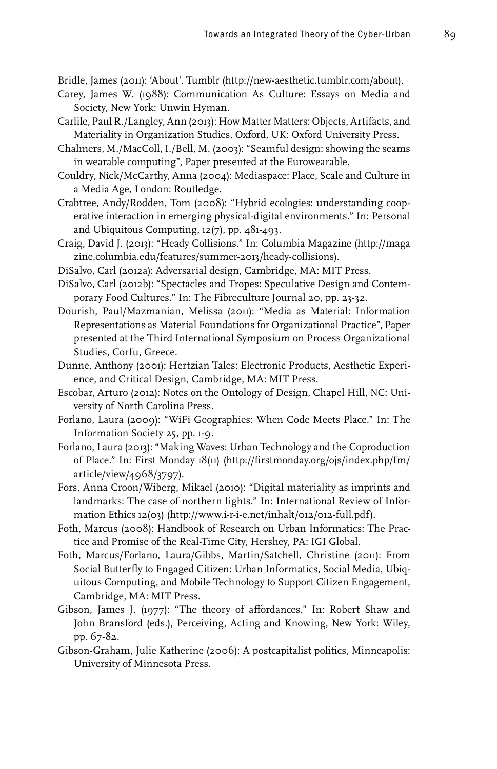Bridle, James (2011): 'About'. Tumblr (http://new-aesthetic.tumblr.com/about).

- Carey, James W. (1988): Communication As Culture: Essays on Media and Society, New York: Unwin Hyman.
- Carlile, Paul R./Langley, Ann (2013): How Matter Matters: Objects, Artifacts, and Materiality in Organization Studies, Oxford, UK: Oxford University Press.
- Chalmers, M./MacColl, I./Bell, M. (2003): "Seamful design: showing the seams in wearable computing", Paper presented at the Eurowearable.
- Couldry, Nick/McCarthy, Anna (2004): Mediaspace: Place, Scale and Culture in a Media Age, London: Routledge.
- Crabtree, Andy/Rodden, Tom (2008): "Hybrid ecologies: understanding cooperative interaction in emerging physical-digital environments." In: Personal and Ubiquitous Computing, 12(7), pp. 481-493.
- Craig, David J. (2013): "Heady Collisions." In: Columbia Magazine (http://maga zine.columbia.edu/features/summer-2013/heady-collisions).
- DiSalvo, Carl (2012a): Adversarial design, Cambridge, MA: MIT Press.
- DiSalvo, Carl (2012b): "Spectacles and Tropes: Speculative Design and Contemporary Food Cultures." In: The Fibreculture Journal 20, pp. 23-32.
- Dourish, Paul/Mazmanian, Melissa (2011): "Media as Material: Information Representations as Material Foundations for Organizational Practice", Paper presented at the Third International Symposium on Process Organizational Studies, Corfu, Greece.
- Dunne, Anthony (2001): Hertzian Tales: Electronic Products, Aesthetic Experience, and Critical Design, Cambridge, MA: MIT Press.
- Escobar, Arturo (2012): Notes on the Ontology of Design, Chapel Hill, NC: University of North Carolina Press.
- Forlano, Laura (2009): "WiFi Geographies: When Code Meets Place." In: The Information Society 25, pp. 1-9.
- Forlano, Laura (2013): "Making Waves: Urban Technology and the Coproduction of Place." In: First Monday 18(11) (http://firstmonday.org/ojs/index.php/fm/ article/view/4968/3797).
- Fors, Anna Croon/Wiberg, Mikael (2010): "Digital materiality as imprints and landmarks: The case of northern lights." In: International Review of Information Ethics 12(03) (http://www.i-r-i-e.net/inhalt/012/012-full.pdf).
- Foth, Marcus (2008): Handbook of Research on Urban Informatics: The Practice and Promise of the Real-Time City, Hershey, PA: IGI Global.
- Foth, Marcus/Forlano, Laura/Gibbs, Martin/Satchell, Christine (2011): From Social Butterfly to Engaged Citizen: Urban Informatics, Social Media, Ubiquitous Computing, and Mobile Technology to Support Citizen Engagement, Cambridge, MA: MIT Press.
- Gibson, James J. (1977): "The theory of affordances." In: Robert Shaw and John Bransford (eds.), Perceiving, Acting and Knowing, New York: Wiley, pp. 67-82.
- Gibson-Graham, Julie Katherine (2006): A postcapitalist politics, Minneapolis: University of Minnesota Press.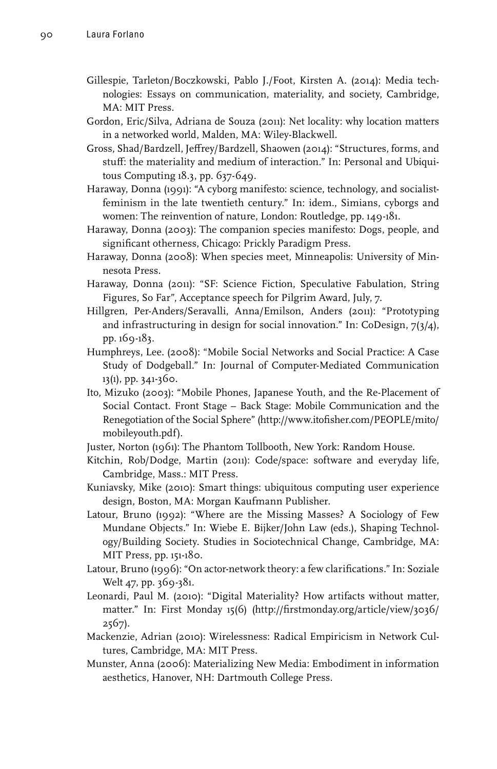- Gillespie, Tarleton/Boczkowski, Pablo J./Foot, Kirsten A. (2014): Media technologies: Essays on communication, materiality, and society, Cambridge, MA: MIT Press.
- Gordon, Eric/Silva, Adriana de Souza (2011): Net locality: why location matters in a networked world, Malden, MA: Wiley-Blackwell.
- Gross, Shad/Bardzell, Jeffrey/Bardzell, Shaowen (2014): "Structures, forms, and stuff: the materiality and medium of interaction." In: Personal and Ubiquitous Computing 18.3, pp. 637-649.
- Haraway, Donna (1991): "A cyborg manifesto: science, technology, and socialistfeminism in the late twentieth century." In: idem., Simians, cyborgs and women: The reinvention of nature, London: Routledge, pp. 149-181.
- Haraway, Donna (2003): The companion species manifesto: Dogs, people, and significant otherness, Chicago: Prickly Paradigm Press.
- Haraway, Donna (2008): When species meet, Minneapolis: University of Minnesota Press.
- Haraway, Donna (2011): "SF: Science Fiction, Speculative Fabulation, String Figures, So Far", Acceptance speech for Pilgrim Award, July, 7.
- Hillgren, Per-Anders/Seravalli, Anna/Emilson, Anders (2011): "Prototyping and infrastructuring in design for social innovation." In: CoDesign, 7(3/4), pp. 169-183.
- Humphreys, Lee. (2008): "Mobile Social Networks and Social Practice: A Case Study of Dodgeball." In: Journal of Computer-Mediated Communication 13(1), pp. 341-360.
- Ito, Mizuko (2003): "Mobile Phones, Japanese Youth, and the Re-Placement of Social Contact. Front Stage – Back Stage: Mobile Communication and the Renegotiation of the Social Sphere" (http://www.itofisher.com/PEOPLE/mito/ mobileyouth.pdf).
- Juster, Norton (1961): The Phantom Tollbooth, New York: Random House.
- Kitchin, Rob/Dodge, Martin (2011): Code/space: software and everyday life, Cambridge, Mass.: MIT Press.
- Kuniavsky, Mike (2010): Smart things: ubiquitous computing user experience design, Boston, MA: Morgan Kaufmann Publisher.
- Latour, Bruno (1992): "Where are the Missing Masses? A Sociology of Few Mundane Objects." In: Wiebe E. Bijker/John Law (eds.), Shaping Technology/Building Society. Studies in Sociotechnical Change, Cambridge, MA: MIT Press, pp. 151-180.
- Latour, Bruno (1996): "On actor-network theory: a few clarifications." In: Soziale Welt 47, pp. 369-381.
- Leonardi, Paul M. (2010): "Digital Materiality? How artifacts without matter, matter." In: First Monday 15(6) (http://firstmonday.org/article/view/3036/ 2567).
- Mackenzie, Adrian (2010): Wirelessness: Radical Empiricism in Network Cultures, Cambridge, MA: MIT Press.
- Munster, Anna (2006): Materializing New Media: Embodiment in information aesthetics, Hanover, NH: Dartmouth College Press.